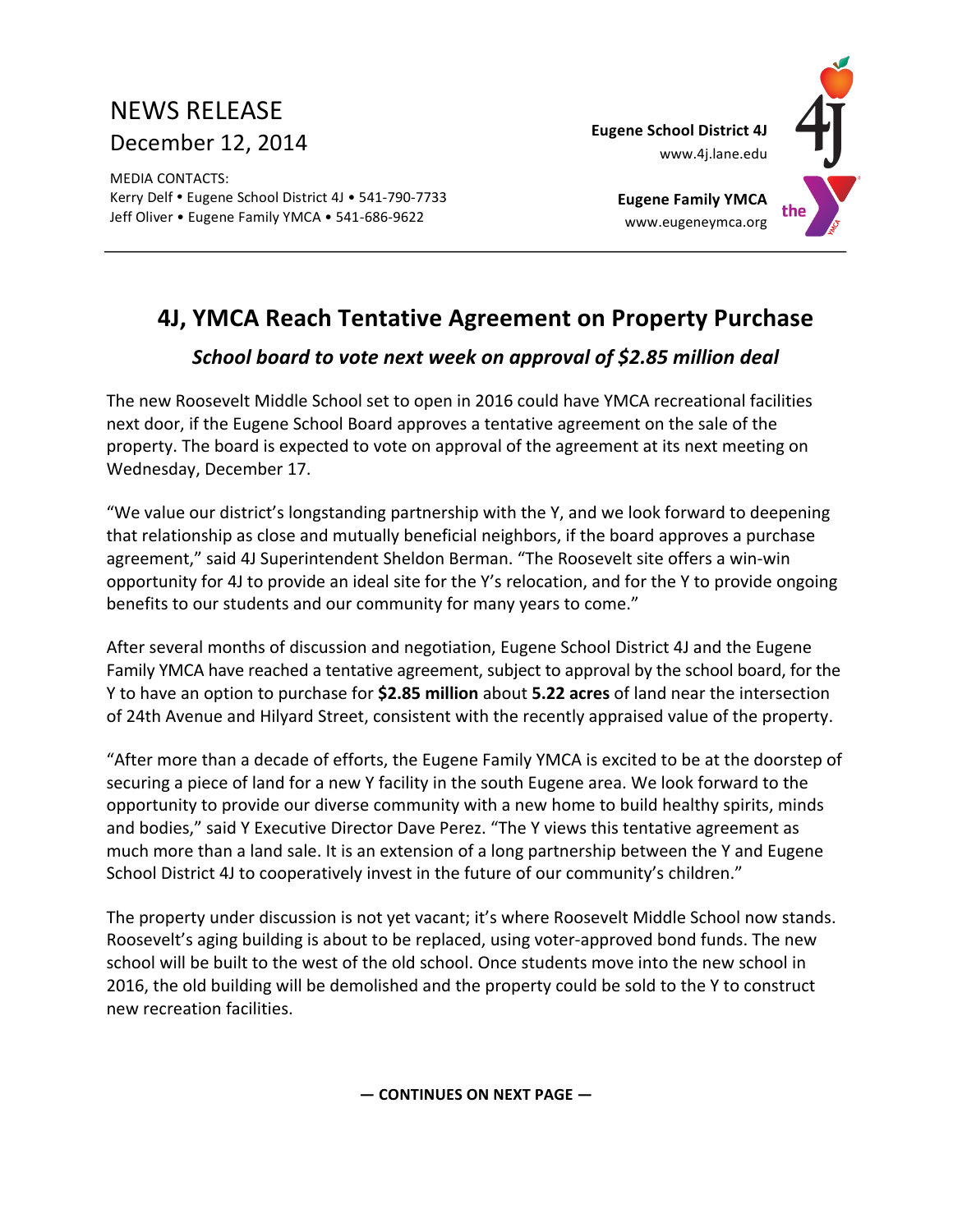# NEWS RELEASE December 12, 2014

**MEDIA CONTACTS:** Kerry Delf . Eugene School District 4J . 541-790-7733 Jeff Oliver • Eugene Family YMCA • 541-686-9622

**Eugene School District 4J**



**Eugene Family YMCA** www.eugeneymca.org

# **4J, YMCA Reach Tentative Agreement on Property Purchase**

## *School board to vote next week on approval of \$2.85 million deal*

The new Roosevelt Middle School set to open in 2016 could have YMCA recreational facilities next door, if the Eugene School Board approves a tentative agreement on the sale of the property. The board is expected to vote on approval of the agreement at its next meeting on Wednesday, December 17.

"We value our district's longstanding partnership with the Y, and we look forward to deepening that relationship as close and mutually beneficial neighbors, if the board approves a purchase agreement," said 4J Superintendent Sheldon Berman. "The Roosevelt site offers a win-win opportunity for 4J to provide an ideal site for the Y's relocation, and for the Y to provide ongoing benefits to our students and our community for many years to come."

After several months of discussion and negotiation, Eugene School District 4J and the Eugene Family YMCA have reached a tentative agreement, subject to approval by the school board, for the Y to have an option to purchase for **\$2.85 million** about **5.22 acres** of land near the intersection of 24th Avenue and Hilyard Street, consistent with the recently appraised value of the property.

"After more than a decade of efforts, the Eugene Family YMCA is excited to be at the doorstep of securing a piece of land for a new Y facility in the south Eugene area. We look forward to the opportunity to provide our diverse community with a new home to build healthy spirits, minds and bodies," said Y Executive Director Dave Perez. "The Y views this tentative agreement as much more than a land sale. It is an extension of a long partnership between the Y and Eugene School District 4J to cooperatively invest in the future of our community's children."

The property under discussion is not yet vacant; it's where Roosevelt Middle School now stands. Roosevelt's aging building is about to be replaced, using voter-approved bond funds. The new school will be built to the west of the old school. Once students move into the new school in 2016, the old building will be demolished and the property could be sold to the Y to construct new recreation facilities. 

**— CONTINUES ON NEXT PAGE —**